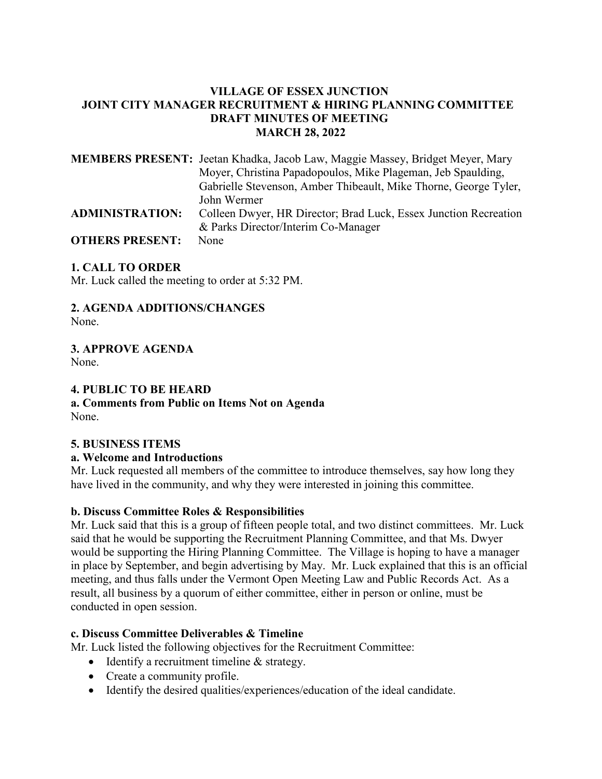#### **VILLAGE OF ESSEX JUNCTION JOINT CITY MANAGER RECRUITMENT & HIRING PLANNING COMMITTEE DRAFT MINUTES OF MEETING MARCH 28, 2022**

|                        | <b>MEMBERS PRESENT:</b> Jeetan Khadka, Jacob Law, Maggie Massey, Bridget Meyer, Mary |
|------------------------|--------------------------------------------------------------------------------------|
|                        | Moyer, Christina Papadopoulos, Mike Plageman, Jeb Spaulding,                         |
|                        | Gabrielle Stevenson, Amber Thibeault, Mike Thorne, George Tyler,                     |
|                        | John Wermer                                                                          |
| <b>ADMINISTRATION:</b> | Colleen Dwyer, HR Director; Brad Luck, Essex Junction Recreation                     |
|                        | & Parks Director/Interim Co-Manager                                                  |
| <b>OTHERS PRESENT:</b> | None                                                                                 |

#### **1. CALL TO ORDER**

Mr. Luck called the meeting to order at 5:32 PM.

#### **2. AGENDA ADDITIONS/CHANGES**  None.

**3. APPROVE AGENDA** 

None.

#### **4. PUBLIC TO BE HEARD**

**a. Comments from Public on Items Not on Agenda**  None.

#### **5. BUSINESS ITEMS**

#### **a. Welcome and Introductions**

Mr. Luck requested all members of the committee to introduce themselves, say how long they have lived in the community, and why they were interested in joining this committee.

#### **b. Discuss Committee Roles & Responsibilities**

Mr. Luck said that this is a group of fifteen people total, and two distinct committees. Mr. Luck said that he would be supporting the Recruitment Planning Committee, and that Ms. Dwyer would be supporting the Hiring Planning Committee. The Village is hoping to have a manager in place by September, and begin advertising by May. Mr. Luck explained that this is an official meeting, and thus falls under the Vermont Open Meeting Law and Public Records Act. As a result, all business by a quorum of either committee, either in person or online, must be conducted in open session.

#### **c. Discuss Committee Deliverables & Timeline**

Mr. Luck listed the following objectives for the Recruitment Committee:

- Identify a recruitment timeline & strategy.
- Create a community profile.
- Identify the desired qualities/experiences/education of the ideal candidate.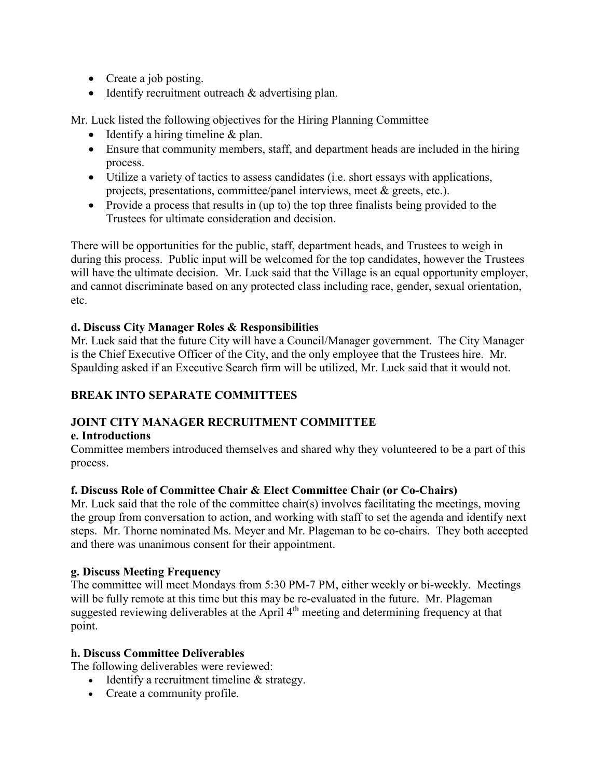- Create a job posting.
- Identify recruitment outreach & advertising plan.

Mr. Luck listed the following objectives for the Hiring Planning Committee

- Identify a hiring timeline & plan.
- Ensure that community members, staff, and department heads are included in the hiring process.
- Utilize a variety of tactics to assess candidates (i.e. short essays with applications, projects, presentations, committee/panel interviews, meet & greets, etc.).
- Provide a process that results in (up to) the top three finalists being provided to the Trustees for ultimate consideration and decision.

There will be opportunities for the public, staff, department heads, and Trustees to weigh in during this process. Public input will be welcomed for the top candidates, however the Trustees will have the ultimate decision. Mr. Luck said that the Village is an equal opportunity employer, and cannot discriminate based on any protected class including race, gender, sexual orientation, etc.

### **d. Discuss City Manager Roles & Responsibilities**

Mr. Luck said that the future City will have a Council/Manager government. The City Manager is the Chief Executive Officer of the City, and the only employee that the Trustees hire. Mr. Spaulding asked if an Executive Search firm will be utilized, Mr. Luck said that it would not.

## **BREAK INTO SEPARATE COMMITTEES**

### **JOINT CITY MANAGER RECRUITMENT COMMITTEE**

#### **e. Introductions**

Committee members introduced themselves and shared why they volunteered to be a part of this process.

### **f. Discuss Role of Committee Chair & Elect Committee Chair (or Co-Chairs)**

Mr. Luck said that the role of the committee chair(s) involves facilitating the meetings, moving the group from conversation to action, and working with staff to set the agenda and identify next steps. Mr. Thorne nominated Ms. Meyer and Mr. Plageman to be co-chairs. They both accepted and there was unanimous consent for their appointment.

### **g. Discuss Meeting Frequency**

The committee will meet Mondays from 5:30 PM-7 PM, either weekly or bi-weekly. Meetings will be fully remote at this time but this may be re-evaluated in the future. Mr. Plageman suggested reviewing deliverables at the April 4<sup>th</sup> meeting and determining frequency at that point.

#### **h. Discuss Committee Deliverables**

The following deliverables were reviewed:

- Identify a recruitment timeline & strategy.
- Create a community profile.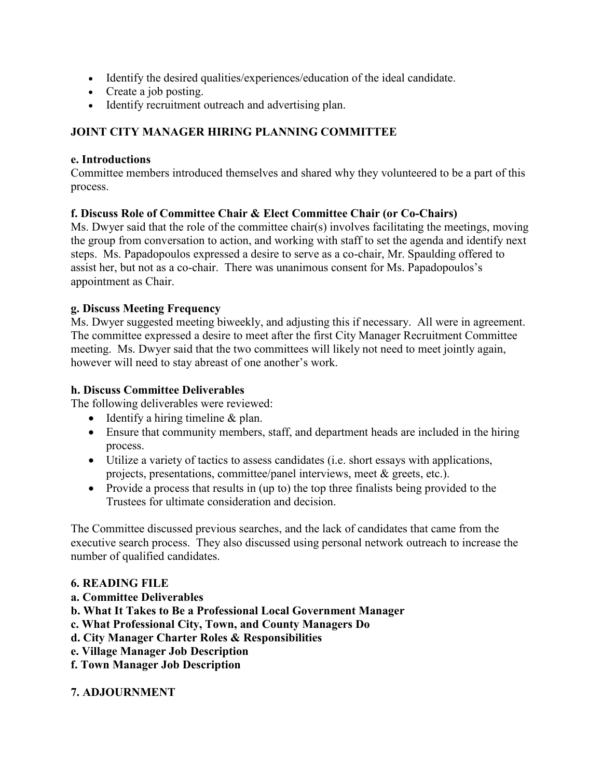- Identify the desired qualities/experiences/education of the ideal candidate.
- Create a job posting.
- Identify recruitment outreach and advertising plan.

# **JOINT CITY MANAGER HIRING PLANNING COMMITTEE**

#### **e. Introductions**

Committee members introduced themselves and shared why they volunteered to be a part of this process.

### **f. Discuss Role of Committee Chair & Elect Committee Chair (or Co-Chairs)**

Ms. Dwyer said that the role of the committee chair(s) involves facilitating the meetings, moving the group from conversation to action, and working with staff to set the agenda and identify next steps. Ms. Papadopoulos expressed a desire to serve as a co-chair, Mr. Spaulding offered to assist her, but not as a co-chair. There was unanimous consent for Ms. Papadopoulos's appointment as Chair.

### **g. Discuss Meeting Frequency**

Ms. Dwyer suggested meeting biweekly, and adjusting this if necessary. All were in agreement. The committee expressed a desire to meet after the first City Manager Recruitment Committee meeting. Ms. Dwyer said that the two committees will likely not need to meet jointly again, however will need to stay abreast of one another's work.

### **h. Discuss Committee Deliverables**

The following deliverables were reviewed:

- Identify a hiring timeline & plan.
- Ensure that community members, staff, and department heads are included in the hiring process.
- Utilize a variety of tactics to assess candidates (i.e. short essays with applications, projects, presentations, committee/panel interviews, meet & greets, etc.).
- Provide a process that results in (up to) the top three finalists being provided to the Trustees for ultimate consideration and decision.

The Committee discussed previous searches, and the lack of candidates that came from the executive search process. They also discussed using personal network outreach to increase the number of qualified candidates.

### **6. READING FILE**

- **a. Committee Deliverables**
- **b. What It Takes to Be a Professional Local Government Manager**
- **c. What Professional City, Town, and County Managers Do**
- **d. City Manager Charter Roles & Responsibilities**
- **e. Village Manager Job Description**
- **f. Town Manager Job Description**

### **7. ADJOURNMENT**